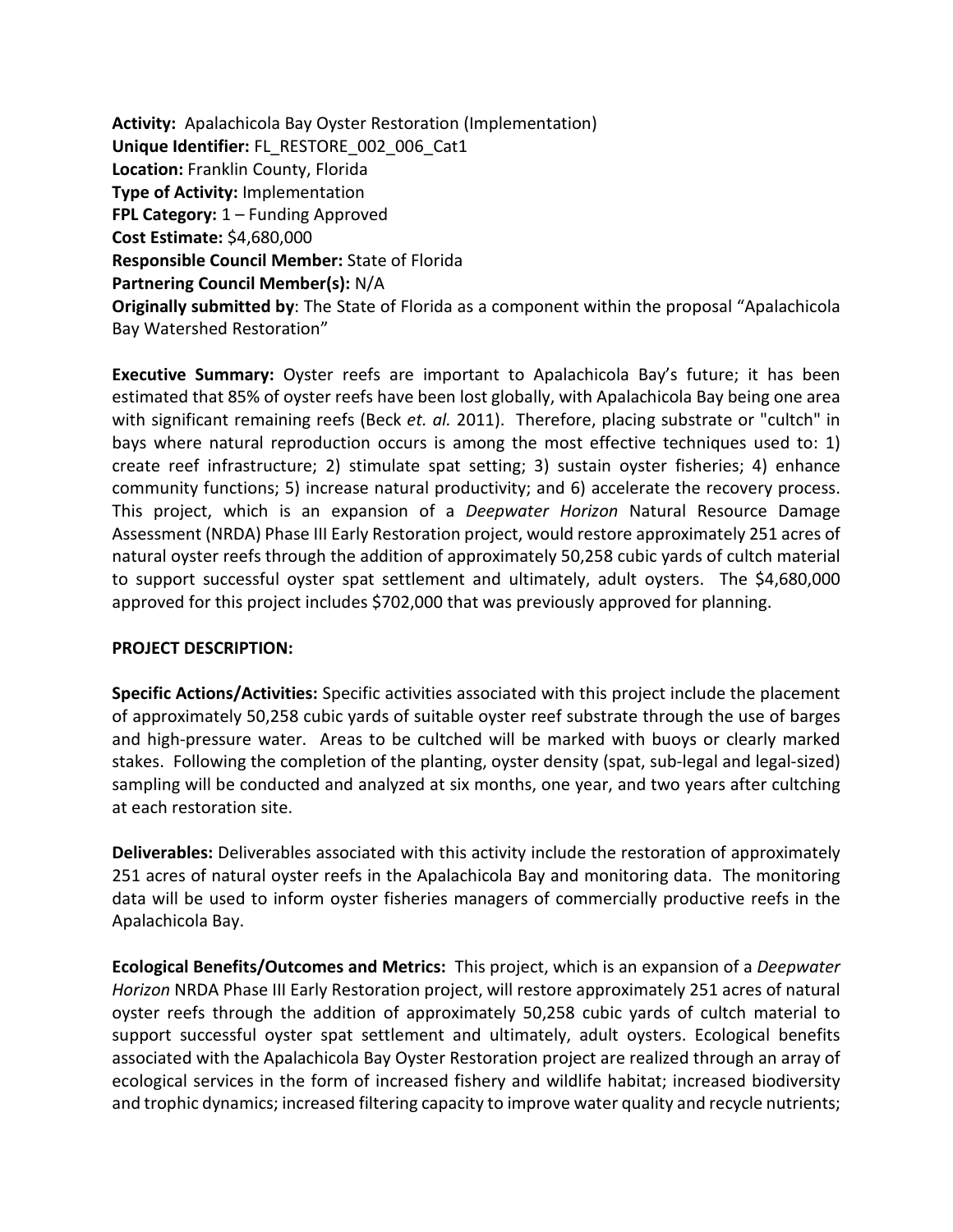**Activity:** Apalachicola Bay Oyster Restoration (Implementation) **Unique Identifier:** FL\_RESTORE\_002\_006\_Cat1 **Location:** Franklin County, Florida **Type of Activity:** Implementation **FPL Category:** 1 – Funding Approved **Cost Estimate:** \$4,680,000 **Responsible Council Member:** State of Florida **Partnering Council Member(s):** N/A **Originally submitted by**: The State of Florida as a component within the proposal "Apalachicola Bay Watershed Restoration"

**Executive Summary:** Oyster reefs are important to Apalachicola Bay's future; it has been estimated that 85% of oyster reefs have been lost globally, with Apalachicola Bay being one area with significant remaining reefs (Beck *et. al.* 2011). Therefore, placing substrate or "cultch" in bays where natural reproduction occurs is among the most effective techniques used to: 1) create reef infrastructure; 2) stimulate spat setting; 3) sustain oyster fisheries; 4) enhance community functions; 5) increase natural productivity; and 6) accelerate the recovery process. This project, which is an expansion of a *Deepwater Horizon* Natural Resource Damage Assessment (NRDA) Phase III Early Restoration project, would restore approximately 251 acres of natural oyster reefs through the addition of approximately 50,258 cubic yards of cultch material to support successful oyster spat settlement and ultimately, adult oysters. The \$4,680,000 approved for this project includes \$702,000 that was previously approved for planning.

## **PROJECT DESCRIPTION:**

**Specific Actions/Activities:** Specific activities associated with this project include the placement of approximately 50,258 cubic yards of suitable oyster reef substrate through the use of barges and high-pressure water. Areas to be cultched will be marked with buoys or clearly marked stakes. Following the completion of the planting, oyster density (spat, sub-legal and legal-sized) sampling will be conducted and analyzed at six months, one year, and two years after cultching at each restoration site.

**Deliverables:** Deliverables associated with this activity include the restoration of approximately 251 acres of natural oyster reefs in the Apalachicola Bay and monitoring data. The monitoring data will be used to inform oyster fisheries managers of commercially productive reefs in the Apalachicola Bay.

**Ecological Benefits/Outcomes and Metrics:** This project, which is an expansion of a *Deepwater Horizon* NRDA Phase III Early Restoration project, will restore approximately 251 acres of natural oyster reefs through the addition of approximately 50,258 cubic yards of cultch material to support successful oyster spat settlement and ultimately, adult oysters. Ecological benefits associated with the Apalachicola Bay Oyster Restoration project are realized through an array of ecological services in the form of increased fishery and wildlife habitat; increased biodiversity and trophic dynamics; increased filtering capacity to improve water quality and recycle nutrients;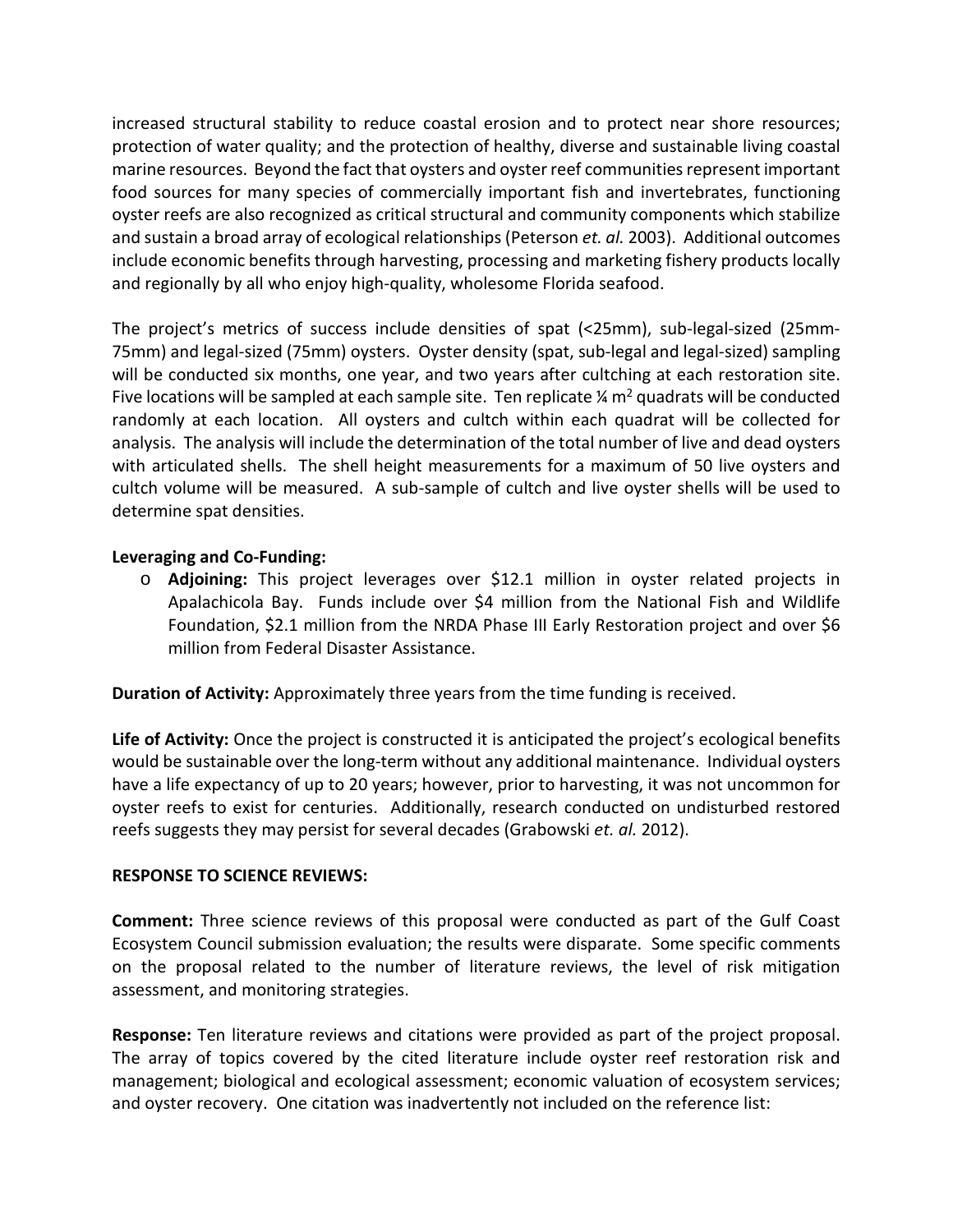increased structural stability to reduce coastal erosion and to protect near shore resources; protection of water quality; and the protection of healthy, diverse and sustainable living coastal marine resources. Beyond the fact that oysters and oyster reef communities represent important food sources for many species of commercially important fish and invertebrates, functioning oyster reefs are also recognized as critical structural and community components which stabilize and sustain a broad array of ecological relationships (Peterson *et. al.* 2003). Additional outcomes include economic benefits through harvesting, processing and marketing fishery products locally and regionally by all who enjoy high-quality, wholesome Florida seafood.

The project's metrics of success include densities of spat (<25mm), sub-legal-sized (25mm-75mm) and legal-sized (75mm) oysters. Oyster density (spat, sub-legal and legal-sized) sampling will be conducted six months, one year, and two years after cultching at each restoration site. Five locations will be sampled at each sample site. Ten replicate  $\frac{1}{4}$  m<sup>2</sup> quadrats will be conducted randomly at each location. All oysters and cultch within each quadrat will be collected for analysis. The analysis will include the determination of the total number of live and dead oysters with articulated shells. The shell height measurements for a maximum of 50 live oysters and cultch volume will be measured. A sub-sample of cultch and live oyster shells will be used to determine spat densities.

## **Leveraging and Co-Funding:**

o **Adjoining:** This project leverages over \$12.1 million in oyster related projects in Apalachicola Bay. Funds include over \$4 million from the National Fish and Wildlife Foundation, \$2.1 million from the NRDA Phase III Early Restoration project and over \$6 million from Federal Disaster Assistance.

**Duration of Activity:** Approximately three years from the time funding is received.

**Life of Activity:** Once the project is constructed it is anticipated the project's ecological benefits would be sustainable over the long-term without any additional maintenance. Individual oysters have a life expectancy of up to 20 years; however, prior to harvesting, it was not uncommon for oyster reefs to exist for centuries. Additionally, research conducted on undisturbed restored reefs suggests they may persist for several decades (Grabowski *et. al.* 2012).

## **RESPONSE TO SCIENCE REVIEWS:**

**Comment:** Three science reviews of this proposal were conducted as part of the Gulf Coast Ecosystem Council submission evaluation; the results were disparate. Some specific comments on the proposal related to the number of literature reviews, the level of risk mitigation assessment, and monitoring strategies.

**Response:** Ten literature reviews and citations were provided as part of the project proposal. The array of topics covered by the cited literature include oyster reef restoration risk and management; biological and ecological assessment; economic valuation of ecosystem services; and oyster recovery. One citation was inadvertently not included on the reference list: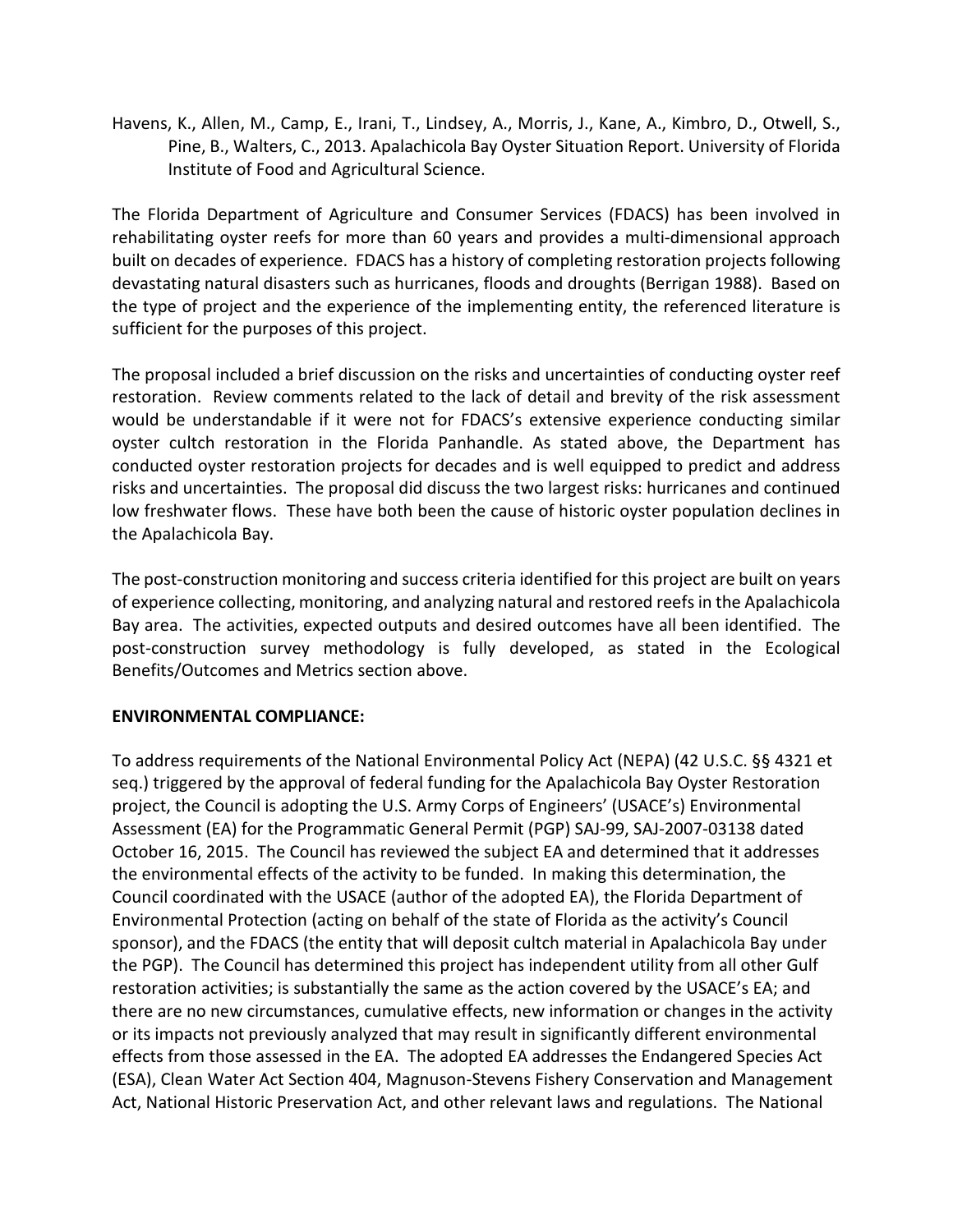Havens, K., Allen, M., Camp, E., Irani, T., Lindsey, A., Morris, J., Kane, A., Kimbro, D., Otwell, S., Pine, B., Walters, C., 2013. Apalachicola Bay Oyster Situation Report. University of Florida Institute of Food and Agricultural Science.

The Florida Department of Agriculture and Consumer Services (FDACS) has been involved in rehabilitating oyster reefs for more than 60 years and provides a multi-dimensional approach built on decades of experience. FDACS has a history of completing restoration projects following devastating natural disasters such as hurricanes, floods and droughts (Berrigan 1988). Based on the type of project and the experience of the implementing entity, the referenced literature is sufficient for the purposes of this project.

The proposal included a brief discussion on the risks and uncertainties of conducting oyster reef restoration. Review comments related to the lack of detail and brevity of the risk assessment would be understandable if it were not for FDACS's extensive experience conducting similar oyster cultch restoration in the Florida Panhandle. As stated above, the Department has conducted oyster restoration projects for decades and is well equipped to predict and address risks and uncertainties. The proposal did discuss the two largest risks: hurricanes and continued low freshwater flows. These have both been the cause of historic oyster population declines in the Apalachicola Bay.

The post-construction monitoring and success criteria identified for this project are built on years of experience collecting, monitoring, and analyzing natural and restored reefsin the Apalachicola Bay area. The activities, expected outputs and desired outcomes have all been identified. The post-construction survey methodology is fully developed, as stated in the Ecological Benefits/Outcomes and Metrics section above.

## **ENVIRONMENTAL COMPLIANCE:**

To address requirements of the National Environmental Policy Act (NEPA) (42 U.S.C. §§ 4321 et seq.) triggered by the approval of federal funding for the Apalachicola Bay Oyster Restoration project, the Council is adopting the U.S. Army Corps of Engineers' (USACE's) Environmental Assessment (EA) for the Programmatic General Permit (PGP) SAJ-99, SAJ-2007-03138 dated October 16, 2015. The Council has reviewed the subject EA and determined that it addresses the environmental effects of the activity to be funded. In making this determination, the Council coordinated with the USACE (author of the adopted EA), the Florida Department of Environmental Protection (acting on behalf of the state of Florida as the activity's Council sponsor), and the FDACS (the entity that will deposit cultch material in Apalachicola Bay under the PGP). The Council has determined this project has independent utility from all other Gulf restoration activities; is substantially the same as the action covered by the USACE's EA; and there are no new circumstances, cumulative effects, new information or changes in the activity or its impacts not previously analyzed that may result in significantly different environmental effects from those assessed in the EA. The adopted EA addresses the Endangered Species Act (ESA), Clean Water Act Section 404, Magnuson-Stevens Fishery Conservation and Management Act, National Historic Preservation Act, and other relevant laws and regulations. The National